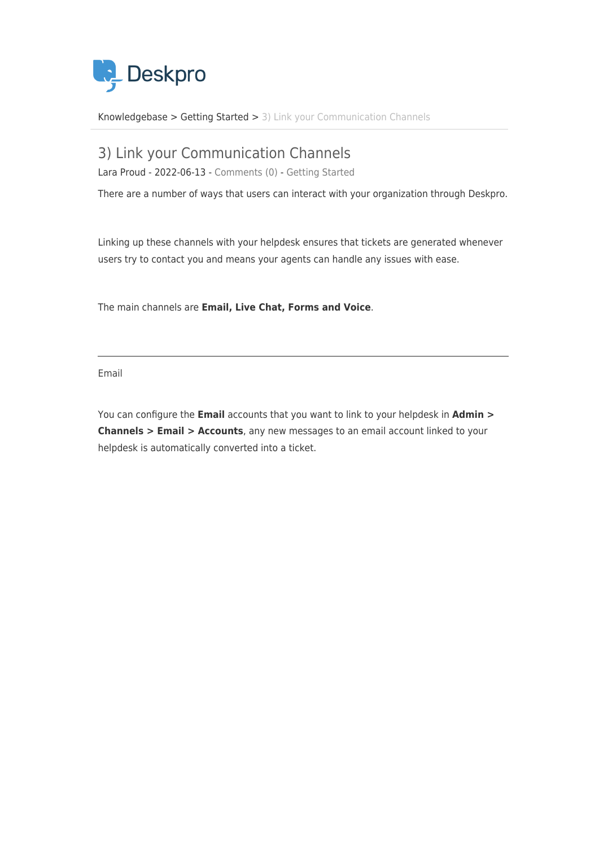

[Knowledgebase](https://support.deskpro.com/en/kb) > [Getting Started](https://support.deskpro.com/en/kb/getting-started) > [3\) Link your Communication Channels](https://support.deskpro.com/en/kb/articles/3-link-your-communication-channels)

# 3) Link your Communication Channels

Lara Proud - 2022-06-13 - [Comments \(0\)](#page--1-0) - [Getting Started](https://support.deskpro.com/en/kb/getting-started)

There are a number of ways that users can interact with your organization through Deskpro.

Linking up these channels with your helpdesk ensures that tickets are generated whenever users try to contact you and means your agents can handle any issues with ease.

The main channels are **Email, Live Chat, Forms and Voice**.

Email

You can configure the **Email** accounts that you want to link to your helpdesk in **Admin > Channels > Email > Accounts**, any new messages to an email account linked to your helpdesk is automatically converted into a ticket.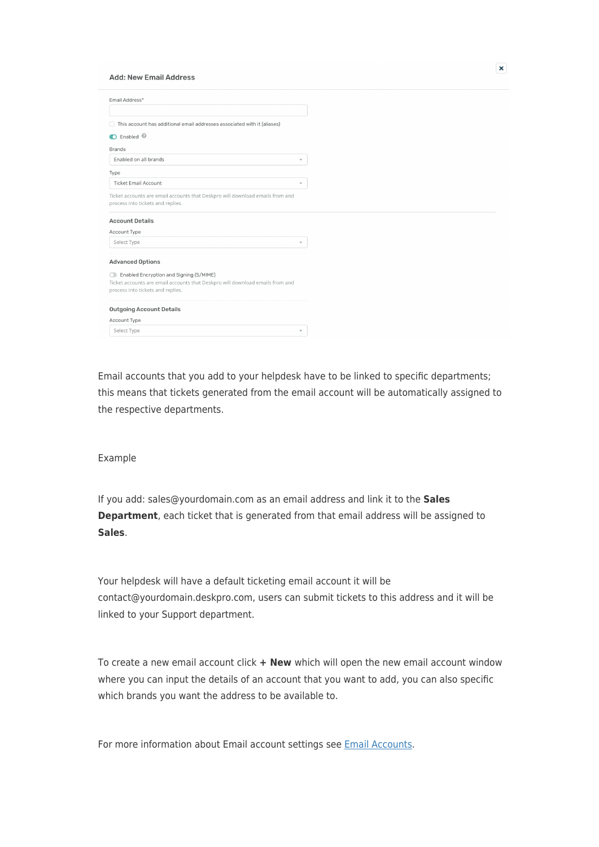#### **Add: New Email Address**

| Email Address*                                                                                                                |                          |
|-------------------------------------------------------------------------------------------------------------------------------|--------------------------|
|                                                                                                                               |                          |
| □ This account has additional email addresses associated with it (aliases)                                                    |                          |
| C Enabled <sup>©</sup>                                                                                                        |                          |
| <b>Brands</b>                                                                                                                 |                          |
| Enabled on all brands                                                                                                         | $\overline{\phantom{a}}$ |
| Type                                                                                                                          |                          |
| <b>Ticket Email Account</b>                                                                                                   | $\overline{\mathbf{v}}$  |
| Ticket accounts are email accounts that Deskpro will download emails from and<br>process into tickets and replies.            |                          |
| <b>Account Details</b>                                                                                                        |                          |
| Account Type                                                                                                                  |                          |
| Select Type                                                                                                                   | $\overline{\phantom{a}}$ |
| <b>Advanced Options</b>                                                                                                       |                          |
|                                                                                                                               |                          |
| Enabled Encryption and Signing (S/MIME)<br>O<br>Ticket accounts are email accounts that Deskpro will download emails from and |                          |
| process into tickets and replies.                                                                                             |                          |
| <b>Outgoing Account Details</b>                                                                                               |                          |
| Account Type                                                                                                                  |                          |
| Select Type                                                                                                                   | $\overline{\phantom{a}}$ |
|                                                                                                                               |                          |

Email accounts that you add to your helpdesk have to be linked to specific departments; this means that tickets generated from the email account will be automatically assigned to the respective departments.

#### Example

If you add: sales@yourdomain.com as an email address and link it to the **Sales Department**, each ticket that is generated from that email address will be assigned to **Sales**.

Your helpdesk will have a default ticketing email account it will be contact@yourdomain.deskpro.com, users can submit tickets to this address and it will be linked to your Support department.

To create a new email account click **+ New** which will open the new email account window where you can input the details of an account that you want to add, you can also specific which brands you want the address to be available to.

For more information about Email account settings see [Email Accounts.](https://support.deskpro.com/en/guides/admin-guide/email-accounts-1)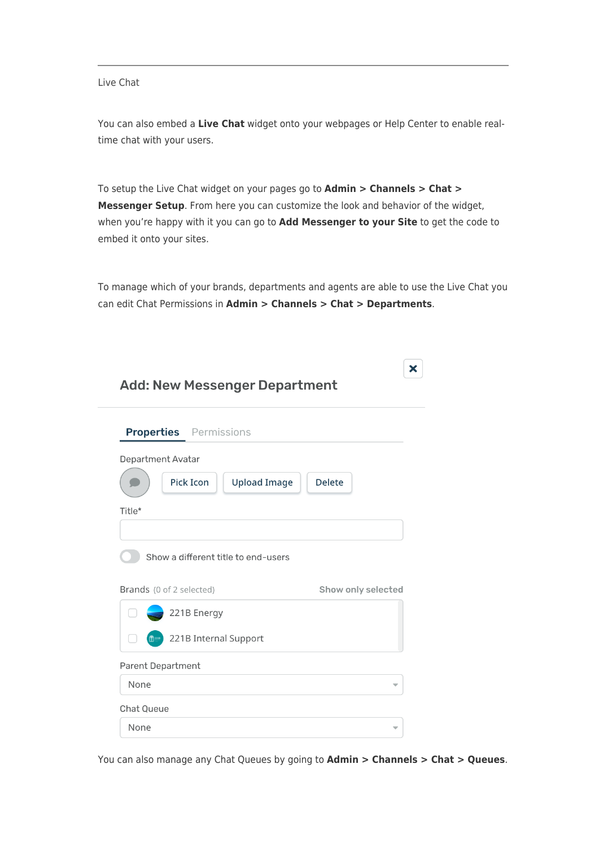#### Live Chat

You can also embed a **Live Chat** widget onto your webpages or Help Center to enable realtime chat with your users.

To setup the Live Chat widget on your pages go to **Admin > Channels > Chat > Messenger Setup**. From here you can customize the look and behavior of the widget, when you're happy with it you can go to **Add Messenger to your Site** to get the code to embed it onto your sites.

To manage which of your brands, departments and agents are able to use the Live Chat you can edit Chat Permissions in **Admin > Channels > Chat > Departments**.

| <b>Add: New Messenger Department</b>                     | ́ |
|----------------------------------------------------------|---|
| <b>Properties</b> Permissions                            |   |
| <b>Department Avatar</b>                                 |   |
| <b>Pick Icon</b><br><b>Delete</b><br><b>Upload Image</b> |   |
| Title*                                                   |   |
|                                                          |   |
| Show a different title to end-users                      |   |
| Brands (0 of 2 selected)<br>Show only selected           |   |
| 221B Energy                                              |   |
| 221B Internal Support<br><b>film</b>                     |   |
| <b>Parent Department</b>                                 |   |
| None                                                     |   |
| <b>Chat Queue</b>                                        |   |
| None                                                     | ₩ |

You can also manage any Chat Queues by going to **Admin > Channels > Chat > Queues**.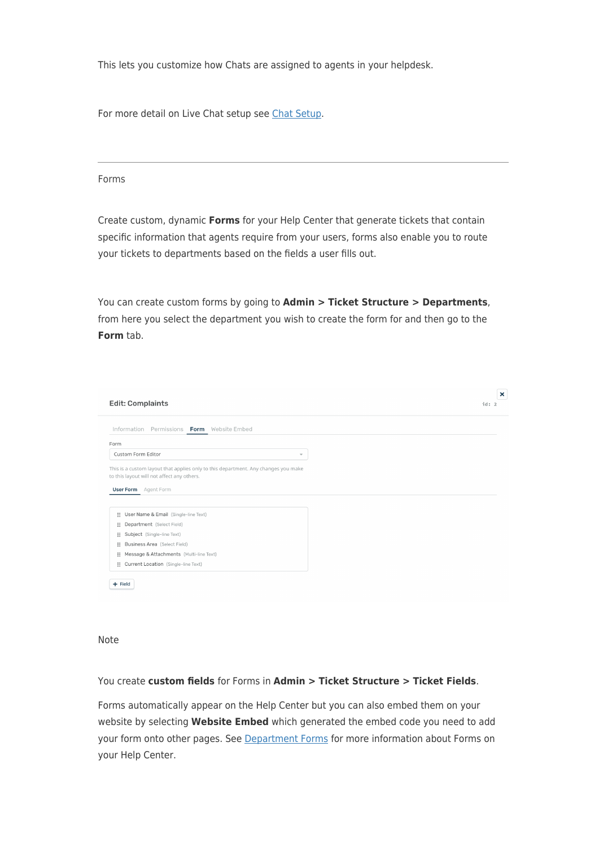This lets you customize how Chats are assigned to agents in your helpdesk.

For more detail on Live Chat setup see [Chat Setup](https://support.deskpro.com/en/guides/admin-guide/chat-setup-1).

#### Forms

Create custom, dynamic **Forms** for your Help Center that generate tickets that contain specific information that agents require from your users, forms also enable you to route your tickets to departments based on the fields a user fills out.

You can create custom forms by going to **Admin > Ticket Structure > Departments**, from here you select the department you wish to create the form for and then go to the **Form** tab.

| <b>Edit: Complaints</b>                                                            | $\boldsymbol{\mathsf{x}}$<br>id: 2 |
|------------------------------------------------------------------------------------|------------------------------------|
| Information<br>Permissions Form Website Embed                                      |                                    |
| Form                                                                               |                                    |
| Custom Form Editor                                                                 | $\overline{\mathbf{v}}$            |
| This is a custom layout that applies only to this department. Any changes you make |                                    |
| to this layout will not affect any others.<br><b>User Form</b> Agent Form          |                                    |
| :: User Name & Email (Single-line Text)                                            |                                    |
| : Department (Select Field)                                                        |                                    |
| Subject (Single-line Text)<br>×                                                    |                                    |
| : Business Area (Select Field)                                                     |                                    |
| :: Message & Attachments (Multi-line Text)                                         |                                    |

Note

# You create **custom fields** for Forms in **Admin > Ticket Structure > Ticket Fields**.

Forms automatically appear on the Help Center but you can also embed them on your website by selecting **Website Embed** which generated the embed code you need to add your form onto other pages. See [Department Forms](https://support.deskpro.com/en/guides/admin-guide/department-forms) for more information about Forms on your Help Center.